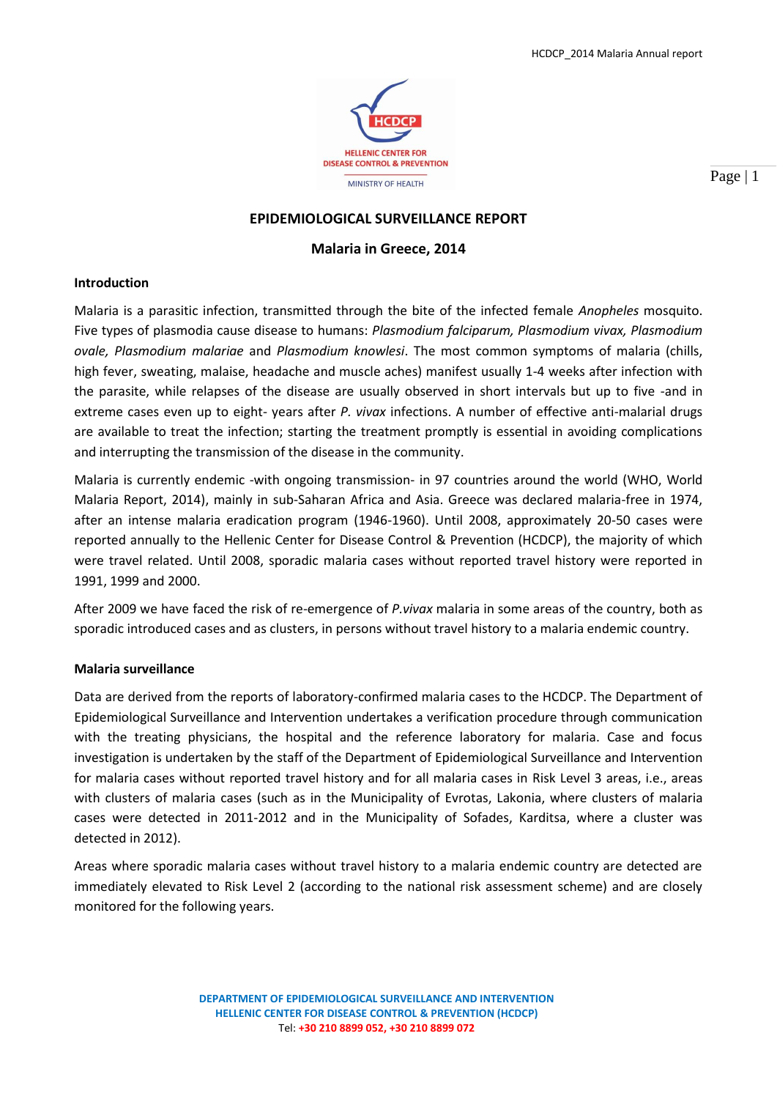

Page | 1

# **EPIDEMIOLOGICAL SURVEILLANCE REPORT**

# **Malaria in Greece, 2014**

## **Introduction**

Malaria is a parasitic infection, transmitted through the bite of the infected female *Anopheles* mosquito. Five types of plasmodia cause disease to humans: *Plasmodium falciparum, Plasmodium vivax, Plasmodium ovale, Plasmodium malariae* and *Plasmodium knowlesi*. The most common symptoms of malaria (chills, high fever, sweating, malaise, headache and muscle aches) manifest usually 1-4 weeks after infection with the parasite, while relapses of the disease are usually observed in short intervals but up to five -and in extreme cases even up to eight- years after *P. vivax* infections. A number of effective anti-malarial drugs are available to treat the infection; starting the treatment promptly is essential in avoiding complications and interrupting the transmission of the disease in the community.

Malaria is currently endemic -with ongoing transmission- in 97 countries around the world (WHO, World Malaria Report, 2014), mainly in sub-Saharan Africa and Asia. Greece was declared malaria-free in 1974, after an intense malaria eradication program (1946-1960). Until 2008, approximately 20-50 cases were reported annually to the Hellenic Center for Disease Control & Prevention (HCDCP), the majority of which were travel related. Until 2008, sporadic malaria cases without reported travel history were reported in 1991, 1999 and 2000.

After 2009 we have faced the risk of re-emergence of *P.vivax* malaria in some areas of the country, both as sporadic introduced cases and as clusters, in persons without travel history to a malaria endemic country.

## **Malaria surveillance**

Data are derived from the reports of laboratory-confirmed malaria cases to the HCDCP. The Department of Epidemiological Surveillance and Intervention undertakes a verification procedure through communication with the treating physicians, the hospital and the reference laboratory for malaria. Case and focus investigation is undertaken by the staff of the Department of Epidemiological Surveillance and Intervention for malaria cases without reported travel history and for all malaria cases in Risk Level 3 areas, i.e., areas with clusters of malaria cases (such as in the Municipality of Evrotas, Lakonia, where clusters of malaria cases were detected in 2011-2012 and in the Municipality of Sofades, Karditsa, where a cluster was detected in 2012).

Areas where sporadic malaria cases without travel history to a malaria endemic country are detected are immediately elevated to Risk Level 2 (according to the national risk assessment scheme) and are closely monitored for the following years.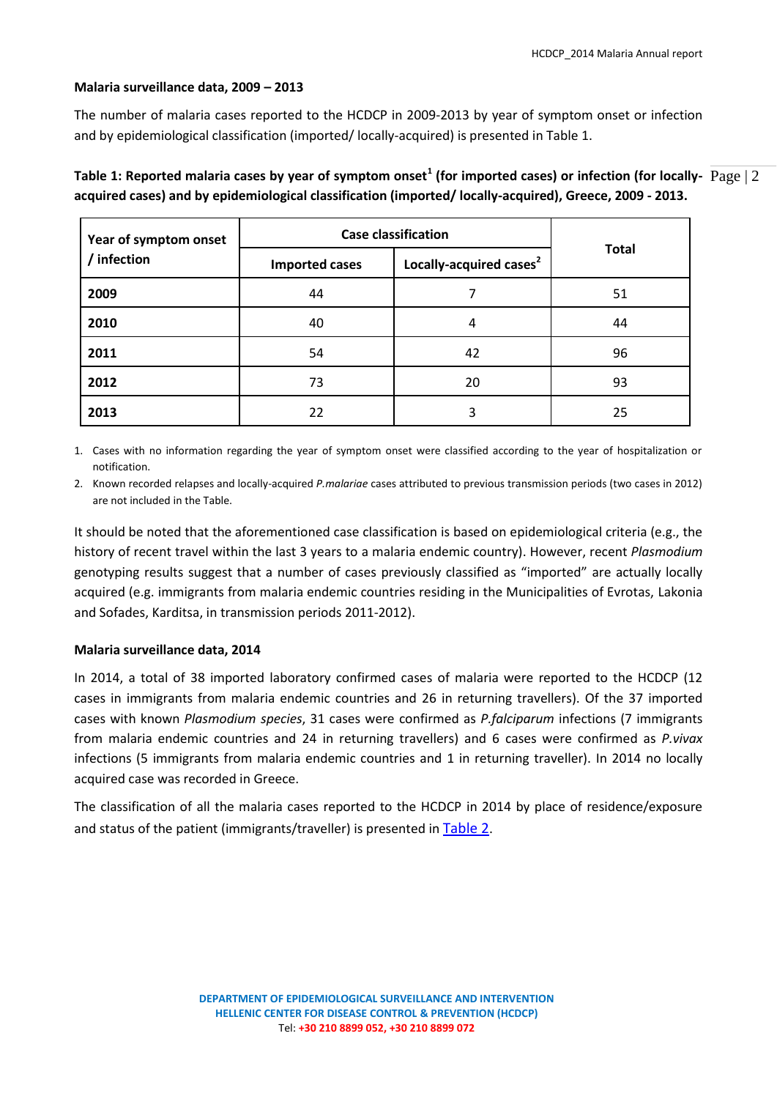## **Malaria surveillance data, 2009 – 2013**

The number of malaria cases reported to the HCDCP in 2009-2013 by year of symptom onset or infection and by epidemiological classification (imported/ locally-acquired) is presented in Table 1.

Table 1: Reported malaria cases by year of symptom onset<sup>1</sup> (for imported cases) or infection (for locally-  $\rm Page$  | 2 **acquired cases) and by epidemiological classification (imported/ locally-acquired), Greece, 2009 - 2013.**

| Year of symptom onset<br>/ infection | <b>Case classification</b> |                                     |              |
|--------------------------------------|----------------------------|-------------------------------------|--------------|
|                                      | <b>Imported cases</b>      | Locally-acquired cases <sup>2</sup> | <b>Total</b> |
| 2009                                 | 44                         |                                     | 51           |
| 2010                                 | 40                         | 4                                   | 44           |
| 2011                                 | 54                         | 42                                  | 96           |
| 2012                                 | 73                         | 20                                  | 93           |
| 2013                                 | 22                         | 3                                   | 25           |

1. Cases with no information regarding the year of symptom onset were classified according to the year of hospitalization or notification.

2. Known recorded relapses and locally-acquired *P.malariae* cases attributed to previous transmission periods (two cases in 2012) are not included in the Table.

It should be noted that the aforementioned case classification is based on epidemiological criteria (e.g., the history of recent travel within the last 3 years to a malaria endemic country). However, recent *Plasmodium* genotyping results suggest that a number of cases previously classified as "imported" are actually locally acquired (e.g. immigrants from malaria endemic countries residing in the Municipalities of Evrotas, Lakonia and Sofades, Karditsa, in transmission periods 2011-2012).

## **Malaria surveillance data, 2014**

In 2014, a total of 38 imported laboratory confirmed cases of malaria were reported to the HCDCP (12 cases in immigrants from malaria endemic countries and 26 in returning travellers). Of the 37 imported cases with known *Plasmodium species*, 31 cases were confirmed as *P.falciparum* infections (7 immigrants from malaria endemic countries and 24 in returning travellers) and 6 cases were confirmed as *P.vivax* infections (5 immigrants from malaria endemic countries and 1 in returning traveller). In 2014 no locally acquired case was recorded in Greece.

<span id="page-1-0"></span>The classification of all the malaria cases reported to the HCDCP in 2014 by place of residence/exposure and status of the patient (immigrants/traveller) is presented in [Table 2](#page-1-0).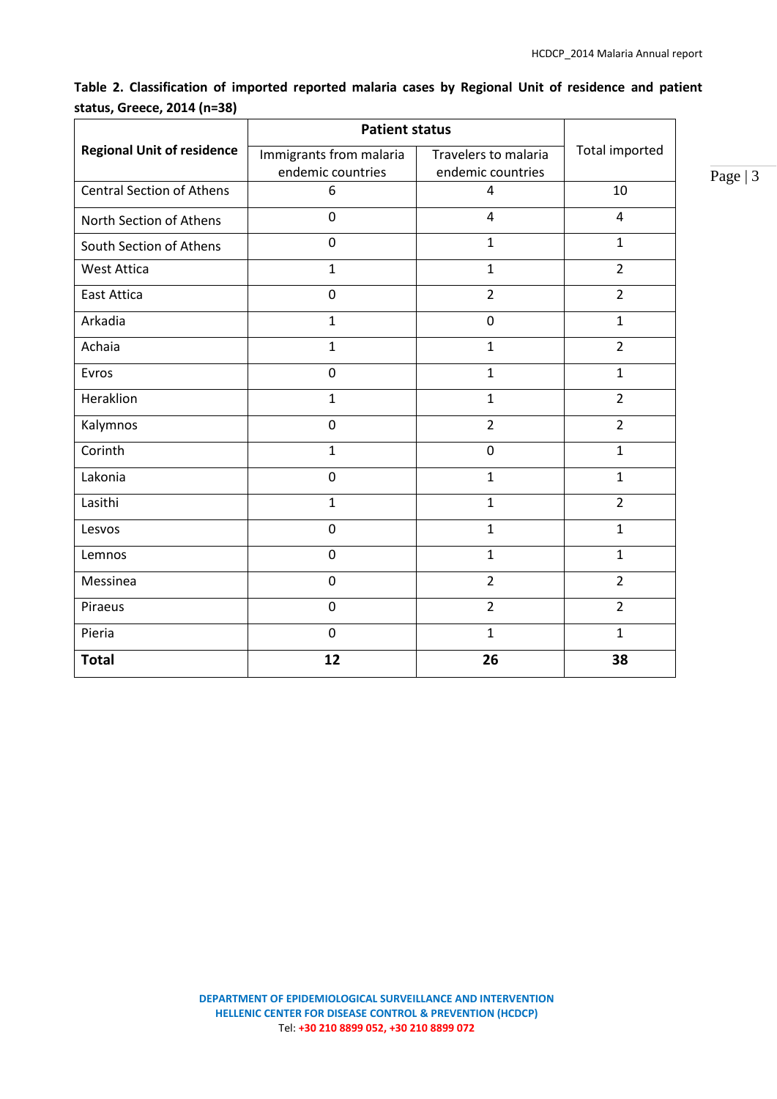Page | 3

|                                   | <b>Patient status</b>                        |                                           |                |
|-----------------------------------|----------------------------------------------|-------------------------------------------|----------------|
| <b>Regional Unit of residence</b> | Immigrants from malaria<br>endemic countries | Travelers to malaria<br>endemic countries | Total imported |
| <b>Central Section of Athens</b>  | 6                                            | 4                                         | 10             |
| North Section of Athens           | $\mathbf 0$                                  | $\overline{4}$                            | $\overline{4}$ |
| South Section of Athens           | $\mathbf 0$                                  | $\mathbf{1}$                              | $\mathbf{1}$   |
| <b>West Attica</b>                | $\mathbf{1}$                                 | $\mathbf{1}$                              | $\overline{2}$ |
| <b>East Attica</b>                | $\mathbf 0$                                  | $\overline{2}$                            | $\overline{2}$ |
| Arkadia                           | $\mathbf{1}$                                 | $\overline{0}$                            | $\mathbf{1}$   |
| Achaia                            | $\mathbf{1}$                                 | $\mathbf{1}$                              | $\overline{2}$ |
| Evros                             | $\mathbf 0$                                  | $\mathbf{1}$                              | $\mathbf{1}$   |
| Heraklion                         | $\mathbf{1}$                                 | $\mathbf{1}$                              | $\overline{2}$ |
| Kalymnos                          | $\mathbf 0$                                  | $\overline{2}$                            | $\overline{2}$ |
| Corinth                           | $\mathbf{1}$                                 | $\mathbf 0$                               | $\mathbf{1}$   |
| Lakonia                           | $\mathbf 0$                                  | $\mathbf{1}$                              | $\mathbf{1}$   |
| Lasithi                           | $\mathbf{1}$                                 | $\mathbf{1}$                              | $\overline{2}$ |
| Lesvos                            | 0                                            | $\mathbf{1}$                              | $\mathbf{1}$   |
| Lemnos                            | $\mathbf 0$                                  | $\mathbf{1}$                              | $\mathbf{1}$   |
| Messinea                          | $\overline{0}$                               | $\overline{2}$                            | $\overline{2}$ |
| Piraeus                           | $\mathbf 0$                                  | $\overline{2}$                            | $\overline{2}$ |
| Pieria                            | $\mathbf 0$                                  | $\mathbf{1}$                              | $\mathbf{1}$   |
| <b>Total</b>                      | 12                                           | 26                                        | 38             |

**Table 2. Classification of imported reported malaria cases by Regional Unit of residence and patient status, Greece, 2014 (n=38)**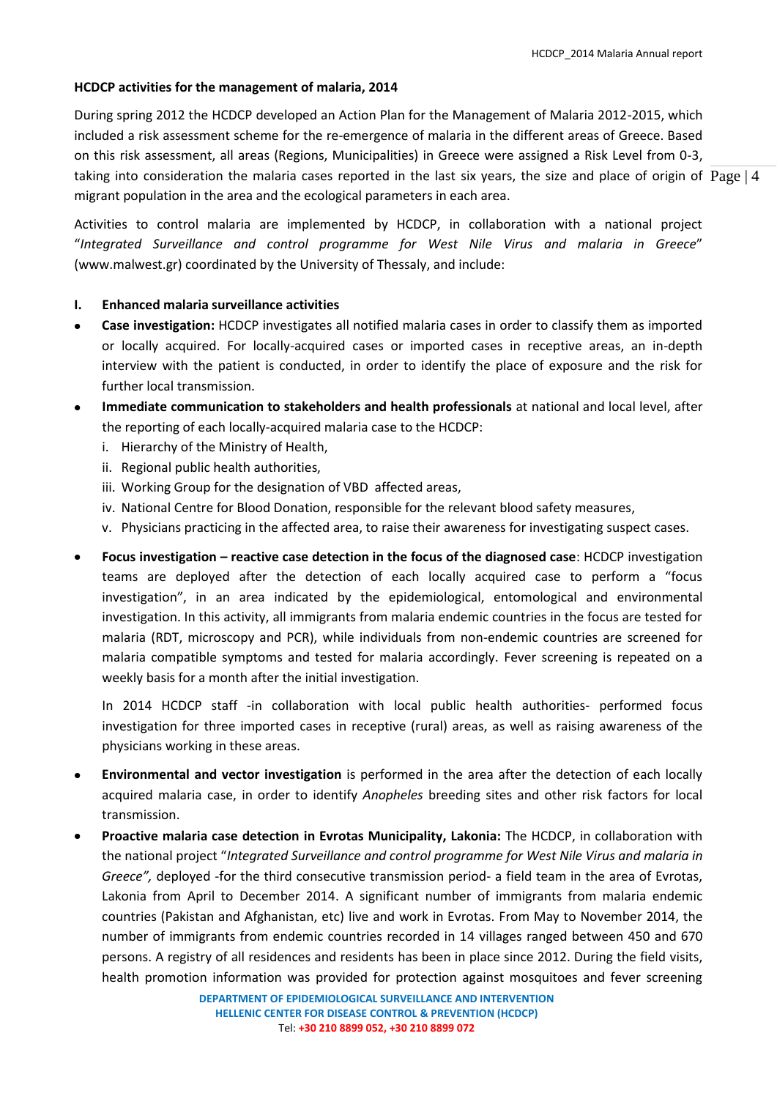# **HCDCP activities for the management of malaria, 2014**

taking into consideration the malaria cases reported in the last six years, the size and place of origin of  $\rm Page$  | 4 During spring 2012 the HCDCP developed an Action Plan for the Management of Malaria 2012-2015, which included a risk assessment scheme for the re-emergence of malaria in the different areas of Greece. Based on this risk assessment, all areas (Regions, Municipalities) in Greece were assigned a Risk Level from 0-3, migrant population in the area and the ecological parameters in each area.

Activities to control malaria are implemented by HCDCP, in collaboration with a national project "*Integrated Surveillance and control programme for West Nile Virus and malaria in Greece*" (www.malwest.gr) coordinated by the University of Thessaly, and include:

# **I. Enhanced malaria surveillance activities**

- **Case investigation:** HCDCP investigates all notified malaria cases in order to classify them as imported or locally acquired. For locally-acquired cases or imported cases in receptive areas, an in-depth interview with the patient is conducted, in order to identify the place of exposure and the risk for further local transmission.
- **Immediate communication to stakeholders and health professionals** at national and local level, after  $\bullet$ the reporting of each locally-acquired malaria case to the HCDCP:
	- i. Hierarchy of the Ministry of Health,
	- ii. Regional public health authorities,
	- iii. Working Group for the designation of VBD affected areas,
	- iv. National Centre for Blood Donation, responsible for the relevant blood safety measures,
	- v. Physicians practicing in the affected area, to raise their awareness for investigating suspect cases.
- **Focus investigation – reactive case detection in the focus of the diagnosed case**: HCDCP investigation teams are deployed after the detection of each locally acquired case to perform a "focus investigation", in an area indicated by the epidemiological, entomological and environmental investigation. In this activity, all immigrants from malaria endemic countries in the focus are tested for malaria (RDT, microscopy and PCR), while individuals from non-endemic countries are screened for malaria compatible symptoms and tested for malaria accordingly. Fever screening is repeated on a weekly basis for a month after the initial investigation.

In 2014 HCDCP staff -in collaboration with local public health authorities- performed focus investigation for three imported cases in receptive (rural) areas, as well as raising awareness of the physicians working in these areas.

- **Environmental and vector investigation** is performed in the area after the detection of each locally acquired malaria case, in order to identify *Anopheles* breeding sites and other risk factors for local transmission.
- **Proactive malaria case detection in Evrotas Municipality, Lakonia:** The HCDCP, in collaboration with the national project "*Integrated Surveillance and control programme for West Nile Virus and malaria in Greece",* deployed -for the third consecutive transmission period- a field team in the area of Evrotas, Lakonia from April to December 2014. A significant number of immigrants from malaria endemic countries (Pakistan and Afghanistan, etc) live and work in Evrotas. From May to November 2014, the number of immigrants from endemic countries recorded in 14 villages ranged between 450 and 670 persons. A registry of all residences and residents has been in place since 2012. During the field visits, health promotion information was provided for protection against mosquitoes and fever screening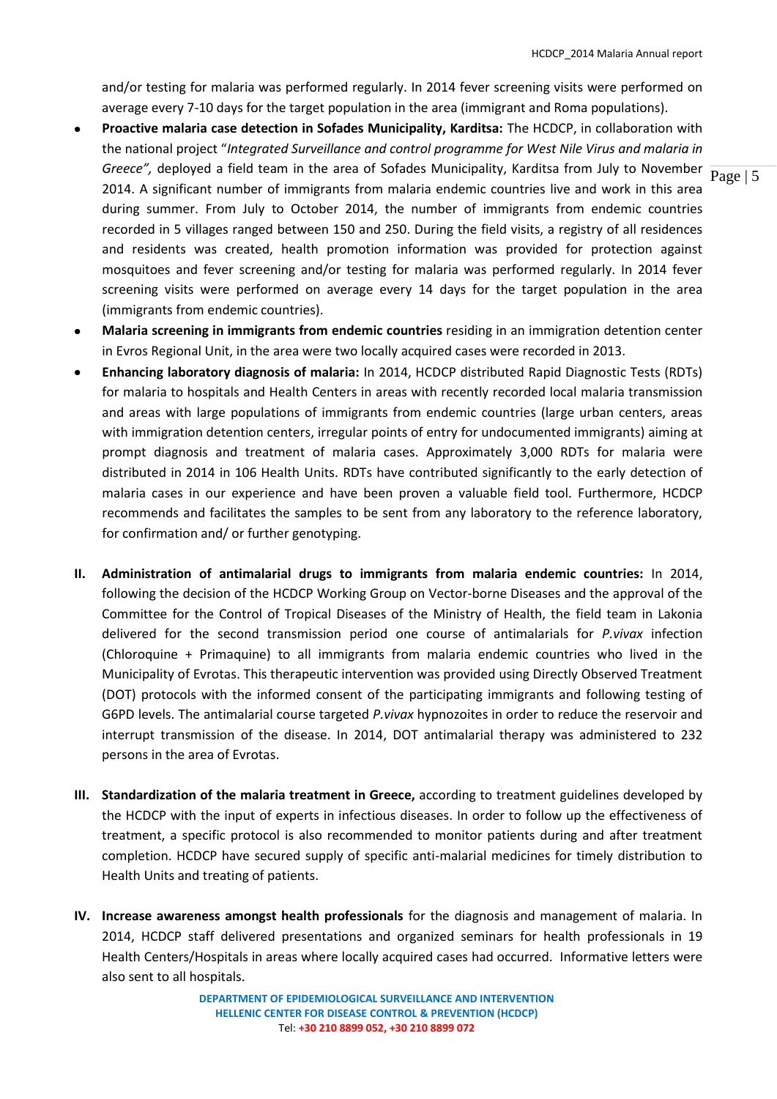and/or testing for malaria was performed regularly. In 2014 fever screening visits were performed on average every 7-10 days for the target population in the area (immigrant and Roma populations).

- *Greece",* deployed a field team in the area of Sofades Municipality, Karditsa from July to November  $\frac{}{\text{Page } | 5}$ **Proactive malaria case detection in Sofades Municipality, Karditsa:** The HCDCP, in collaboration with the national project "*Integrated Surveillance and control programme for West Nile Virus and malaria in*  2014. A significant number of immigrants from malaria endemic countries live and work in this area during summer. From July to October 2014, the number of immigrants from endemic countries recorded in 5 villages ranged between 150 and 250. During the field visits, a registry of all residences and residents was created, health promotion information was provided for protection against mosquitoes and fever screening and/or testing for malaria was performed regularly. In 2014 fever screening visits were performed on average every 14 days for the target population in the area (immigrants from endemic countries).
- **Malaria screening in immigrants from endemic countries** residing in an immigration detention center in Evros Regional Unit, in the area were two locally acquired cases were recorded in 2013.
- **Enhancing laboratory diagnosis of malaria:** In 2014, HCDCP distributed Rapid Diagnostic Tests (RDTs) for malaria to hospitals and Health Centers in areas with recently recorded local malaria transmission and areas with large populations of immigrants from endemic countries (large urban centers, areas with immigration detention centers, irregular points of entry for undocumented immigrants) aiming at prompt diagnosis and treatment of malaria cases. Approximately 3,000 RDTs for malaria were distributed in 2014 in 106 Health Units. RDTs have contributed significantly to the early detection of malaria cases in our experience and have been proven a valuable field tool. Furthermore, HCDCP recommends and facilitates the samples to be sent from any laboratory to the reference laboratory, for confirmation and/ or further genotyping.
- **II. Administration of antimalarial drugs to immigrants from malaria endemic countries:** In 2014, following the decision of the HCDCP Working Group on Vector-borne Diseases and the approval of the Committee for the Control of Tropical Diseases of the Ministry of Health, the field team in Lakonia delivered for the second transmission period one course of antimalarials for *P.vivax* infection (Chloroquine + Primaquine) to all immigrants from malaria endemic countries who lived in the Municipality of Evrotas. This therapeutic intervention was provided using Directly Observed Treatment (DOT) protocols with the informed consent of the participating immigrants and following testing of G6PD levels. The antimalarial course targeted *P.vivax* hypnozoites in order to reduce the reservoir and interrupt transmission of the disease. In 2014, DOT antimalarial therapy was administered to 232 persons in the area of Evrotas.
- **III. Standardization of the malaria treatment in Greece,** according to treatment guidelines developed by the HCDCP with the input of experts in infectious diseases. In order to follow up the effectiveness of treatment, a specific protocol is also recommended to monitor patients during and after treatment completion. HCDCP have secured supply of specific anti-malarial medicines for timely distribution to Health Units and treating of patients.
- **IV. Increase awareness amongst health professionals** for the diagnosis and management of malaria. In 2014, HCDCP staff delivered presentations and organized seminars for health professionals in 19 Health Centers/Hospitals in areas where locally acquired cases had occurred. Informative letters were also sent to all hospitals.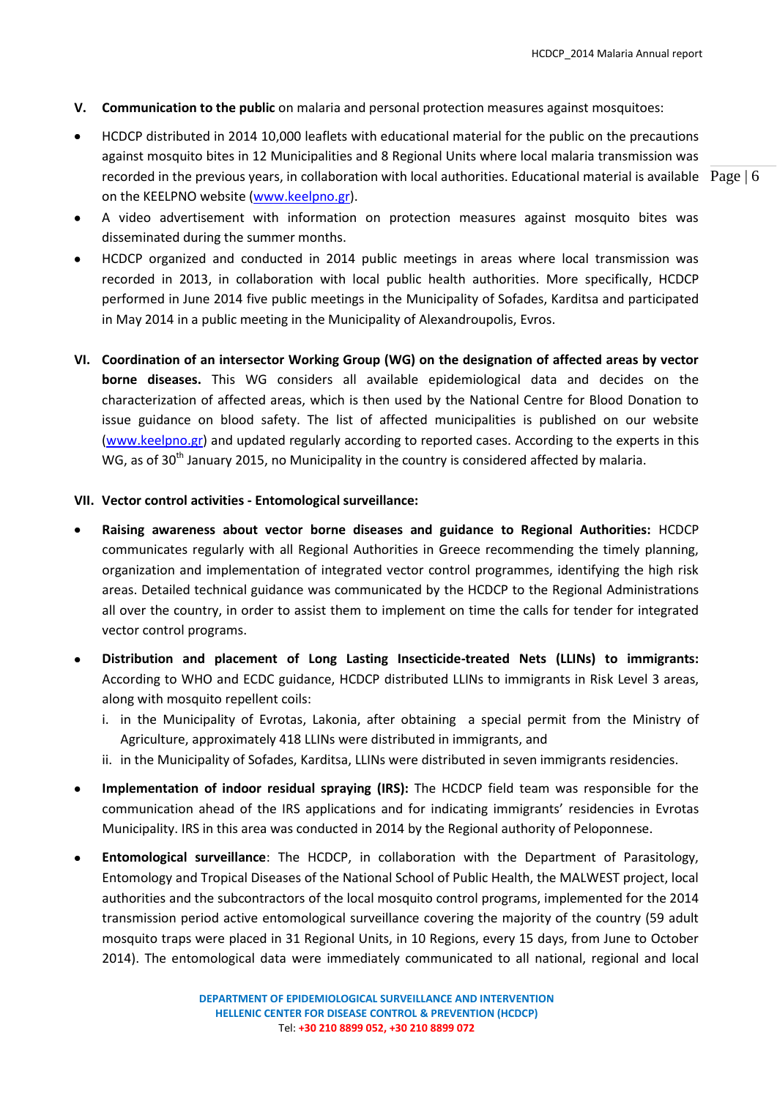- **V. Communication to the public** on malaria and personal protection measures against mosquitoes:
- recorded in the previous years, in collaboration with local authorities. Educational material is available Page  $\vert$  6 HCDCP distributed in 2014 10,000 leaflets with educational material for the public on the precautions against mosquito bites in 12 Municipalities and 8 Regional Units where local malaria transmission was on the KEELPNO website [\(www.keelpno.gr\)](http://www.keelpno.gr/).

- A video advertisement with information on protection measures against mosquito bites was disseminated during the summer months.
- HCDCP organized and conducted in 2014 public meetings in areas where local transmission was  $\bullet$ recorded in 2013, in collaboration with local public health authorities. More specifically, HCDCP performed in June 2014 five public meetings in the Municipality of Sofades, Karditsa and participated in May 2014 in a public meeting in the Municipality of Alexandroupolis, Evros.
- **VI. Coordination of an intersector Working Group (WG) on the designation of affected areas by vector borne diseases.** This WG considers all available epidemiological data and decides on the characterization of affected areas, which is then used by the National Centre for Blood Donation to issue guidance on blood safety. The list of affected municipalities is published on our website [\(www.keelpno.gr\)](http://www.keelpno.gr/) and updated regularly according to reported cases. According to the experts in this WG, as of 30<sup>th</sup> January 2015, no Municipality in the country is considered affected by malaria.

#### **VII. Vector control activities - Entomological surveillance:**

- **Raising awareness about vector borne diseases and guidance to Regional Authorities:** HCDCP communicates regularly with all Regional Authorities in Greece recommending the timely planning, organization and implementation of integrated vector control programmes, identifying the high risk areas. Detailed technical guidance was communicated by the HCDCP to the Regional Administrations all over the country, in order to assist them to implement on time the calls for tender for integrated vector control programs.
- **Distribution and placement of Long Lasting Insecticide-treated Nets (LLINs) to immigrants:**  According to WHO and ECDC guidance, HCDCP distributed LLINs to immigrants in Risk Level 3 areas, along with mosquito repellent coils:
	- i. in the Municipality of Evrotas, Lakonia, after obtaining a special permit from the Ministry of Agriculture, approximately 418 LLINs were distributed in immigrants, and
	- ii. in the Municipality of Sofades, Karditsa, LLINs were distributed in seven immigrants residencies.
- **Implementation of indoor residual spraying (IRS):** The HCDCP field team was responsible for the  $\bullet$ communication ahead of the IRS applications and for indicating immigrants' residencies in Evrotas Municipality. IRS in this area was conducted in 2014 by the Regional authority of Peloponnese.
- **Entomological surveillance**: The HCDCP, in collaboration with the Department of Parasitology,  $\bullet$ Entomology and Tropical Diseases of the National School of Public Health, the MALWEST project, local authorities and the subcontractors of the local mosquito control programs, implemented for the 2014 transmission period active entomological surveillance covering the majority of the country (59 adult mosquito traps were placed in 31 Regional Units, in 10 Regions, every 15 days, from June to October 2014). The entomological data were immediately communicated to all national, regional and local